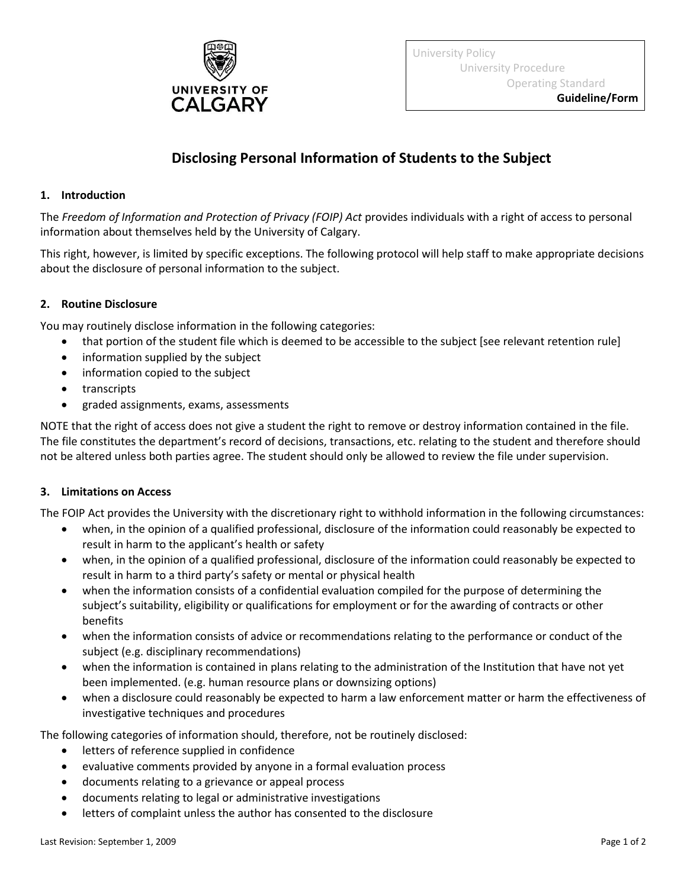

University Policy University Procedure Operating Standard

## **Disclosing Personal Information of Students to the Subject**

## **1. Introduction**

The *Freedom of Information and Protection of Privacy (FOIP) Act* provides individuals with a right of access to personal information about themselves held by the University of Calgary.

This right, however, is limited by specific exceptions. The following protocol will help staff to make appropriate decisions about the disclosure of personal information to the subject.

## **2. Routine Disclosure**

You may routinely disclose information in the following categories:

- that portion of the student file which is deemed to be accessible to the subject [see relevant retention rule]
- information supplied by the subject
- information copied to the subject
- transcripts
- graded assignments, exams, assessments

NOTE that the right of access does not give a student the right to remove or destroy information contained in the file. The file constitutes the department's record of decisions, transactions, etc. relating to the student and therefore should not be altered unless both parties agree. The student should only be allowed to review the file under supervision.

## **3. Limitations on Access**

The FOIP Act provides the University with the discretionary right to withhold information in the following circumstances:

- when, in the opinion of a qualified professional, disclosure of the information could reasonably be expected to result in harm to the applicant's health or safety
- when, in the opinion of a qualified professional, disclosure of the information could reasonably be expected to result in harm to a third party's safety or mental or physical health
- when the information consists of a confidential evaluation compiled for the purpose of determining the subject's suitability, eligibility or qualifications for employment or for the awarding of contracts or other benefits
- when the information consists of advice or recommendations relating to the performance or conduct of the subject (e.g. disciplinary recommendations)
- when the information is contained in plans relating to the administration of the Institution that have not yet been implemented. (e.g. human resource plans or downsizing options)
- when a disclosure could reasonably be expected to harm a law enforcement matter or harm the effectiveness of investigative techniques and procedures

The following categories of information should, therefore, not be routinely disclosed:

- **•** letters of reference supplied in confidence
- evaluative comments provided by anyone in a formal evaluation process
- documents relating to a grievance or appeal process
- documents relating to legal or administrative investigations
- letters of complaint unless the author has consented to the disclosure